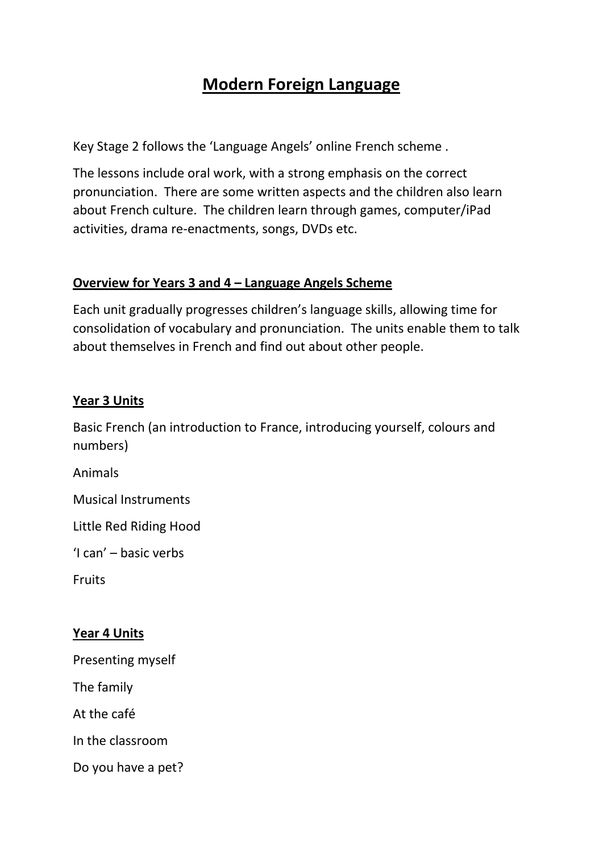## **Modern Foreign Language**

Key Stage 2 follows the 'Language Angels' online French scheme .

The lessons include oral work, with a strong emphasis on the correct pronunciation. There are some written aspects and the children also learn about French culture. The children learn through games, computer/iPad activities, drama re-enactments, songs, DVDs etc.

#### **Overview for Years 3 and 4 – Language Angels Scheme**

Each unit gradually progresses children's language skills, allowing time for consolidation of vocabulary and pronunciation. The units enable them to talk about themselves in French and find out about other people.

### **Year 3 Units**

Basic French (an introduction to France, introducing yourself, colours and numbers)

Animals

Musical Instruments

Little Red Riding Hood

'I can' – basic verbs

Fruits

#### **Year 4 Units**

Presenting myself

The family

At the café

In the classroom

Do you have a pet?